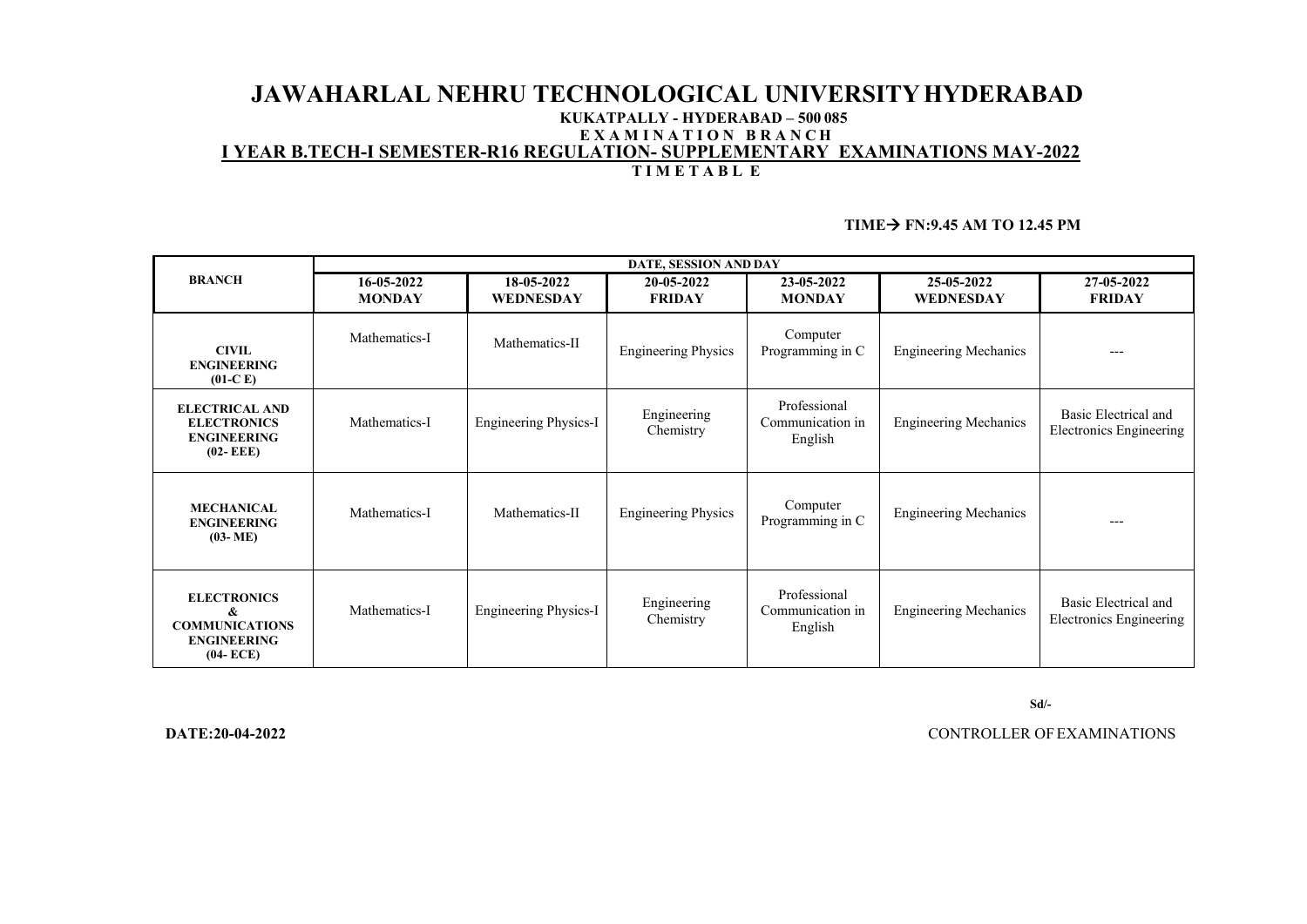## **JAWAHARLAL NEHRU TECHNOLOGICAL UNIVERSITYHYDERABAD KUKATPALLY - HYDERABAD – 500 085 E X A M I N A T I O N B R A N C H I YEAR B.TECH-I SEMESTER-R16 REGULATION- SUPPLEMENTARY EXAMINATIONS MAY-2022 T I M E T A B L E**

### **TIME FN:9.45 AM TO 12.45 PM**

| <b>BRANCH</b>                                                                          | DATE, SESSION AND DAY       |                                |                             |                                             |                                |                                                 |  |  |
|----------------------------------------------------------------------------------------|-----------------------------|--------------------------------|-----------------------------|---------------------------------------------|--------------------------------|-------------------------------------------------|--|--|
|                                                                                        | 16-05-2022<br><b>MONDAY</b> | 18-05-2022<br><b>WEDNESDAY</b> | 20-05-2022<br><b>FRIDAY</b> | 23-05-2022<br><b>MONDAY</b>                 | 25-05-2022<br><b>WEDNESDAY</b> | 27-05-2022<br><b>FRIDAY</b>                     |  |  |
| <b>CIVIL</b><br><b>ENGINEERING</b><br>$(01-C)$                                         | Mathematics-I               | Mathematics-II                 | <b>Engineering Physics</b>  | Computer<br>Programming in C                | <b>Engineering Mechanics</b>   | $---$                                           |  |  |
| <b>ELECTRICAL AND</b><br><b>ELECTRONICS</b><br><b>ENGINEERING</b><br>$(02 - EEE)$      | Mathematics-I               | <b>Engineering Physics-I</b>   | Engineering<br>Chemistry    | Professional<br>Communication in<br>English | <b>Engineering Mechanics</b>   | Basic Electrical and<br>Electronics Engineering |  |  |
| <b>MECHANICAL</b><br><b>ENGINEERING</b><br>$(03 - ME)$                                 | Mathematics-I               | Mathematics-II                 | <b>Engineering Physics</b>  | Computer<br>Programming in C                | <b>Engineering Mechanics</b>   | $---$                                           |  |  |
| <b>ELECTRONICS</b><br>&<br><b>COMMUNICATIONS</b><br><b>ENGINEERING</b><br>$(04 - ECE)$ | Mathematics-I               | <b>Engineering Physics-I</b>   | Engineering<br>Chemistry    | Professional<br>Communication in<br>English | <b>Engineering Mechanics</b>   | Basic Electrical and<br>Electronics Engineering |  |  |

 **Sd/-**

 **DATE:20-04-2022** CONTROLLER OFEXAMINATIONS